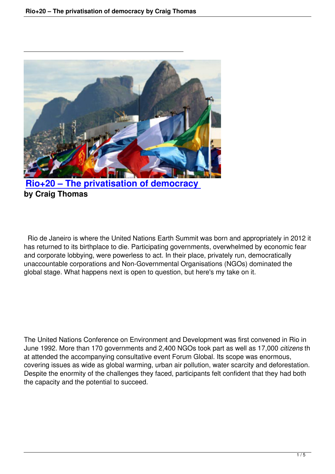

## **by Craig Thomas**

 Rio de Janeiro is where the United Nations Earth Summit was born and appropriately in 2012 it has returned to its birthplace to die. Participating governments, overwhelmed by economic fear and corporate lobbying, were powerless to act. In their place, privately run, democratically unaccountable corporations and Non-Governmental Organisations (NGOs) dominated the global stage. What happens next is open to question, but here's my take on it.

The United Nations Conference on Environment and Development was first convened in Rio in June 1992. More than 170 governments and 2,400 NGOs took part as well as 17,000 *citizens* th at attended the accompanying consultative event Forum Global. Its scope was enormous, covering issues as wide as global warming, urban air pollution, water scarcity and deforestation. Despite the enormity of the challenges they faced, participants felt confident that they had both the capacity and the potential to succeed.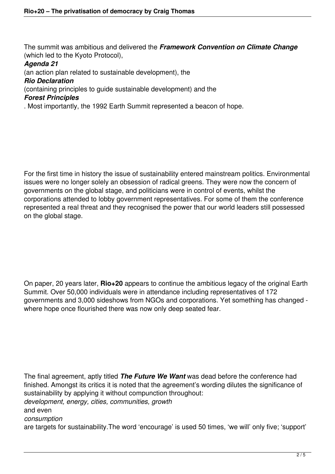The summit was ambitious and delivered the *Framework Convention on Climate Change* (which led to the Kyoto Protocol),

## *Agenda 21*

(an action plan related to sustainable development), the

## *Rio Declaration*

(containing principles to guide sustainable development) and the

## *Forest Principles*

. Most importantly, the 1992 Earth Summit represented a beacon of hope.

For the first time in history the issue of sustainability entered mainstream politics. Environmental issues were no longer solely an obsession of radical greens. They were now the concern of governments on the global stage, and politicians were in control of events, whilst the corporations attended to lobby government representatives. For some of them the conference represented a real threat and they recognised the power that our world leaders still possessed on the global stage.

On paper, 20 years later, **Rio+20** appears to continue the ambitious legacy of the original Earth Summit. Over 50,000 individuals were in attendance including representatives of 172 governments and 3,000 sideshows from NGOs and corporations. Yet something has changed where hope once flourished there was now only deep seated fear.

The final agreement, aptly titled *The Future We Want* was dead before the conference had finished. Amongst its critics it is noted that the agreement's wording dilutes the significance of sustainability by applying it without compunction throughout: *development, energy, cities, communities, growth*  and even *consumption*  are targets for sustainability.The word 'encourage' is used 50 times, 'we will' only five; 'support'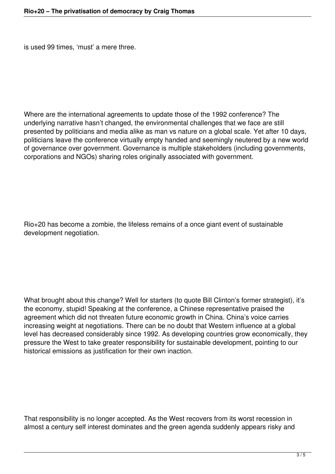is used 99 times, 'must' a mere three.

Where are the international agreements to update those of the 1992 conference? The underlying narrative hasn't changed, the environmental challenges that we face are still presented by politicians and media alike as man vs nature on a global scale. Yet after 10 days, politicians leave the conference virtually empty handed and seemingly neutered by a new world of governance over government. Governance is multiple stakeholders (including governments, corporations and NGOs) sharing roles originally associated with government.

Rio+20 has become a zombie, the lifeless remains of a once giant event of sustainable development negotiation.

What brought about this change? Well for starters (to quote Bill Clinton's former strategist), it's the economy, stupid! Speaking at the conference, a Chinese representative praised the agreement which did not threaten future economic growth in China. China's voice carries increasing weight at negotiations. There can be no doubt that Western influence at a global level has decreased considerably since 1992. As developing countries grow economically, they pressure the West to take greater responsibility for sustainable development, pointing to our historical emissions as justification for their own inaction.

That responsibility is no longer accepted. As the West recovers from its worst recession in almost a century self interest dominates and the green agenda suddenly appears risky and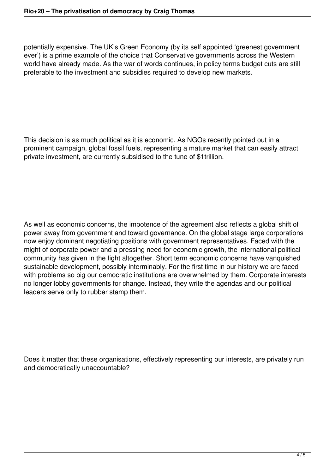potentially expensive. The UK's Green Economy (by its self appointed 'greenest government ever') is a prime example of the choice that Conservative governments across the Western world have already made. As the war of words continues, in policy terms budget cuts are still preferable to the investment and subsidies required to develop new markets.

This decision is as much political as it is economic. As NGOs recently pointed out in a prominent campaign, global fossil fuels, representing a mature market that can easily attract private investment, are currently subsidised to the tune of \$1trillion.

As well as economic concerns, the impotence of the agreement also reflects a global shift of power away from government and toward governance. On the global stage large corporations now enjoy dominant negotiating positions with government representatives. Faced with the might of corporate power and a pressing need for economic growth, the international political community has given in the fight altogether. Short term economic concerns have vanquished sustainable development, possibly interminably. For the first time in our history we are faced with problems so big our democratic institutions are overwhelmed by them. Corporate interests no longer lobby governments for change. Instead, they write the agendas and our political leaders serve only to rubber stamp them.

Does it matter that these organisations, effectively representing our interests, are privately run and democratically unaccountable?